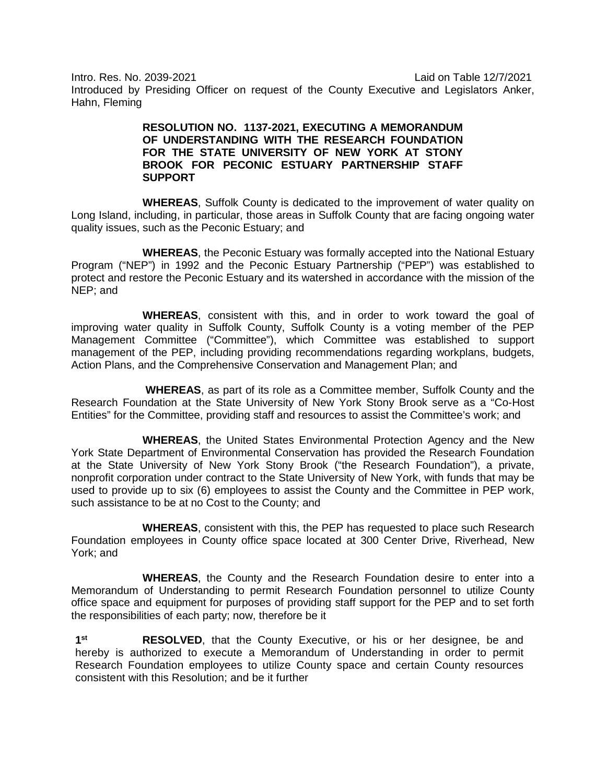Intro. Res. No. 2039-2021 Laid on Table 12/7/2021

Introduced by Presiding Officer on request of the County Executive and Legislators Anker, Hahn, Fleming

## **RESOLUTION NO. 1137-2021, EXECUTING A MEMORANDUM OF UNDERSTANDING WITH THE RESEARCH FOUNDATION FOR THE STATE UNIVERSITY OF NEW YORK AT STONY BROOK FOR PECONIC ESTUARY PARTNERSHIP STAFF SUPPORT**

**WHEREAS**, Suffolk County is dedicated to the improvement of water quality on Long Island, including, in particular, those areas in Suffolk County that are facing ongoing water quality issues, such as the Peconic Estuary; and

**WHEREAS**, the Peconic Estuary was formally accepted into the National Estuary Program ("NEP") in 1992 and the Peconic Estuary Partnership ("PEP") was established to protect and restore the Peconic Estuary and its watershed in accordance with the mission of the NEP; and

**WHEREAS**, consistent with this, and in order to work toward the goal of improving water quality in Suffolk County, Suffolk County is a voting member of the PEP Management Committee ("Committee"), which Committee was established to support management of the PEP, including providing recommendations regarding workplans, budgets, Action Plans, and the Comprehensive Conservation and Management Plan; and

**WHEREAS**, as part of its role as a Committee member, Suffolk County and the Research Foundation at the State University of New York Stony Brook serve as a "Co-Host Entities" for the Committee, providing staff and resources to assist the Committee's work; and

**WHEREAS**, the United States Environmental Protection Agency and the New York State Department of Environmental Conservation has provided the Research Foundation at the State University of New York Stony Brook ("the Research Foundation"), a private, nonprofit corporation under contract to the State University of New York, with funds that may be used to provide up to six (6) employees to assist the County and the Committee in PEP work, such assistance to be at no Cost to the County; and

**WHEREAS**, consistent with this, the PEP has requested to place such Research Foundation employees in County office space located at 300 Center Drive, Riverhead, New York; and

**WHEREAS**, the County and the Research Foundation desire to enter into a Memorandum of Understanding to permit Research Foundation personnel to utilize County office space and equipment for purposes of providing staff support for the PEP and to set forth the responsibilities of each party; now, therefore be it

**1st RESOLVED**, that the County Executive, or his or her designee, be and hereby is authorized to execute a Memorandum of Understanding in order to permit Research Foundation employees to utilize County space and certain County resources consistent with this Resolution; and be it further